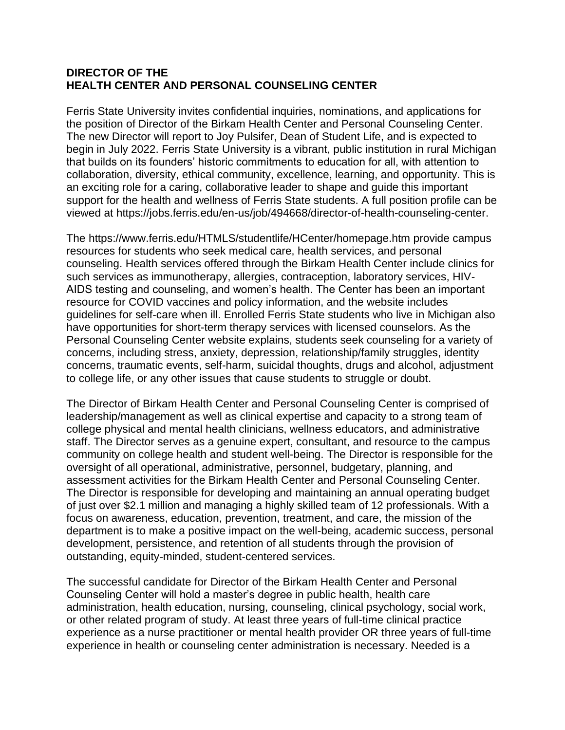## **DIRECTOR OF THE HEALTH CENTER AND PERSONAL COUNSELING CENTER**

Ferris State University invites confidential inquiries, nominations, and applications for the position of Director of the Birkam Health Center and Personal Counseling Center. The new Director will report to Joy Pulsifer, Dean of Student Life, and is expected to begin in July 2022. Ferris State University is a vibrant, public institution in rural Michigan that builds on its founders' historic commitments to education for all, with attention to collaboration, diversity, ethical community, excellence, learning, and opportunity. This is an exciting role for a caring, collaborative leader to shape and guide this important support for the health and wellness of Ferris State students. A full position profile can be viewed at https://jobs.ferris.edu/en-us/job/494668/director-of-health-counseling-center.

The https://www.ferris.edu/HTMLS/studentlife/HCenter/homepage.htm provide campus resources for students who seek medical care, health services, and personal counseling. Health services offered through the Birkam Health Center include clinics for such services as immunotherapy, allergies, contraception, laboratory services, HIV-AIDS testing and counseling, and women's health. The Center has been an important resource for COVID vaccines and policy information, and the website includes guidelines for self-care when ill. Enrolled Ferris State students who live in Michigan also have opportunities for short-term therapy services with licensed counselors. As the Personal Counseling Center website explains, students seek counseling for a variety of concerns, including stress, anxiety, depression, relationship/family struggles, identity concerns, traumatic events, self-harm, suicidal thoughts, drugs and alcohol, adjustment to college life, or any other issues that cause students to struggle or doubt.

The Director of Birkam Health Center and Personal Counseling Center is comprised of leadership/management as well as clinical expertise and capacity to a strong team of college physical and mental health clinicians, wellness educators, and administrative staff. The Director serves as a genuine expert, consultant, and resource to the campus community on college health and student well-being. The Director is responsible for the oversight of all operational, administrative, personnel, budgetary, planning, and assessment activities for the Birkam Health Center and Personal Counseling Center. The Director is responsible for developing and maintaining an annual operating budget of just over \$2.1 million and managing a highly skilled team of 12 professionals. With a focus on awareness, education, prevention, treatment, and care, the mission of the department is to make a positive impact on the well-being, academic success, personal development, persistence, and retention of all students through the provision of outstanding, equity-minded, student-centered services.

The successful candidate for Director of the Birkam Health Center and Personal Counseling Center will hold a master's degree in public health, health care administration, health education, nursing, counseling, clinical psychology, social work, or other related program of study. At least three years of full-time clinical practice experience as a nurse practitioner or mental health provider OR three years of full-time experience in health or counseling center administration is necessary. Needed is a